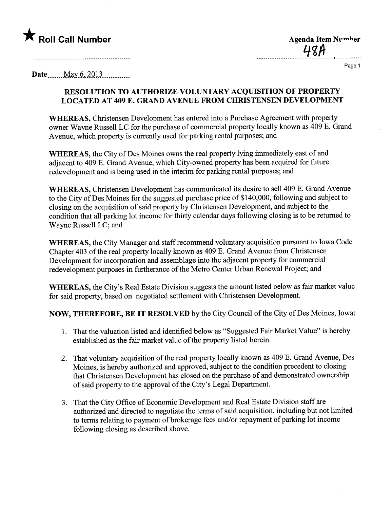

 $48A$ 

Page 1

**Date** May  $6, 2013$ 

## RESOLUTION TO AUTHORIZE VOLUNTARY ACQUISITION OF PROPERTY LOCATED AT 409 E. GRAND AVENUE FROM CHRISTENSEN DEVELOPMENT

WHEREAS, Christensen Development has entered into a Purchase Agreement with property owner Wayne Russell LC for the purchase of commercial property locally known as 409 E. Grand Avenue, which property is currently used for parking rental purposes; and

WHEREAS, the City of Des Moines owns the real property lying immediately east of and adjacent to 409 E. Grand Avenue, which City-owned property has been acquired for future redevelopment and is being used in the interim for parking rental purposes; and

WHEREAS, Christensen Development has communicated its desire to sell 409 E. Grand Avenue to the City of Des Moines for the suggested purchase price of \$140,000, following and subject to closing on the acquisition of said property by Chrstensen Development, and subject to the condition that all parking lot income for thirty calendar days following closing is to be returned to Wayne Russell LC; and

WHEREAS, the City Manager and staff recommend voluntary acquisition pursuant to Iowa Code Chapter 403 of the real property locally known as 409 E. Grand Avenue from Christensen Development for incorporation and assemblage into the adjacent property for commercial redevelopment purposes in furtherance of the Metro Center Urban Renewal Project; and

WHEREAS, the City's Real Estate Division suggests the amount listed below as fair market value for said property, based on negotiated settlement with Christensen Development.

NOW, THEREFORE, BE IT RESOLVED by the City Council of the City of Des Moines, Iowa:

- 1. That the valuation listed and identified below as "Suggested Fair Market Value" is hereby established as the fair market value of the property listed herein.
- 2. That voluntary acquisition of the real property locally known as 409 E. Grand Avenue, Des Moines, is hereby authorized and approved, subject to the condition precedent to closing that Christensen Development has closed on the purchase of and demonstrated ownership of said property to the approval of the City's Legal Department.
- 3. That the City Office of Economic Development and Real Estate Division staff are authorized and directed to negotiate the terms of said acquisition, including but not limited to terms relating to payment of brokerage fees and/or repayment of parking lot income following closing as described above.